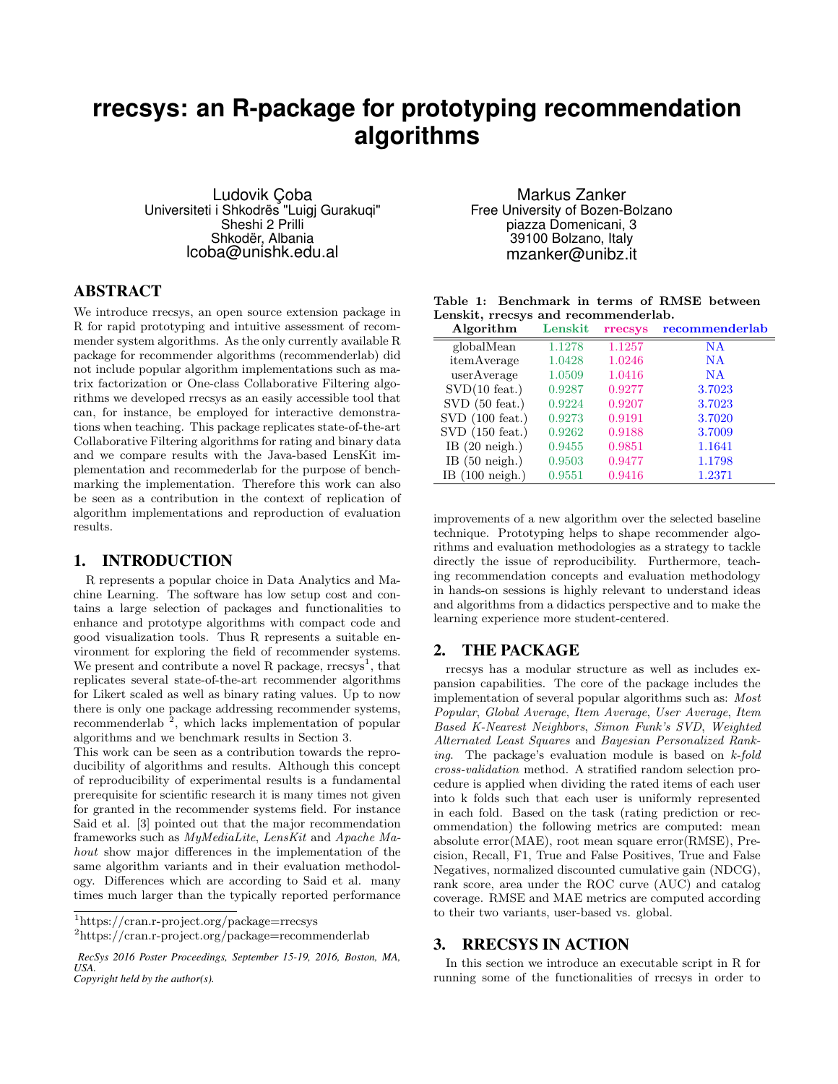# **rrecsys: an R-package for prototyping recommendation algorithms**

Ludovik Çoba Universiteti i Shkodrës "Luigj Gurakuqi" Sheshi 2 Prilli Shkodër, Albania lcoba@unishk.edu.al

## ABSTRACT

We introduce rrecsys, an open source extension package in R for rapid prototyping and intuitive assessment of recommender system algorithms. As the only currently available R package for recommender algorithms (recommenderlab) did not include popular algorithm implementations such as matrix factorization or One-class Collaborative Filtering algorithms we developed rrecsys as an easily accessible tool that can, for instance, be employed for interactive demonstrations when teaching. This package replicates state-of-the-art Collaborative Filtering algorithms for rating and binary data and we compare results with the Java-based LensKit implementation and recommederlab for the purpose of benchmarking the implementation. Therefore this work can also be seen as a contribution in the context of replication of algorithm implementations and reproduction of evaluation results.

## 1. INTRODUCTION

R represents a popular choice in Data Analytics and Machine Learning. The software has low setup cost and contains a large selection of packages and functionalities to enhance and prototype algorithms with compact code and good visualization tools. Thus R represents a suitable environment for exploring the field of recommender systems. We present and contribute a novel R package,  $r$ recsys<sup>1</sup>, that replicates several state-of-the-art recommender algorithms for Likert scaled as well as binary rating values. Up to now there is only one package addressing recommender systems, recommenderlab<sup>2</sup>, which lacks implementation of popular algorithms and we benchmark results in Section 3.

This work can be seen as a contribution towards the reproducibility of algorithms and results. Although this concept of reproducibility of experimental results is a fundamental prerequisite for scientific research it is many times not given for granted in the recommender systems field. For instance Said et al. [3] pointed out that the major recommendation frameworks such as MyMediaLite, LensKit and Apache Mahout show major differences in the implementation of the same algorithm variants and in their evaluation methodology. Differences which are according to Said et al. many times much larger than the typically reported performance

Markus Zanker Free University of Bozen-Bolzano piazza Domenicani, 3 39100 Bolzano, Italy mzanker@unibz.it

|                                      |  |  |  | Table 1: Benchmark in terms of RMSE between |
|--------------------------------------|--|--|--|---------------------------------------------|
| Lenskit, rrecsys and recommenderlab. |  |  |  |                                             |

| Algorithm                 | Lenskit | rrecsys | recommenderlab |
|---------------------------|---------|---------|----------------|
| globalMean                | 1.1278  | 1.1257  | <b>NA</b>      |
| itemAverage               | 1.0428  | 1.0246  | <b>NA</b>      |
| userAverage               | 1.0509  | 1.0416  | <b>NA</b>      |
| $SVD(10$ feat.)           | 0.9287  | 0.9277  | 3.7023         |
| $SVD$ (50 feat.)          | 0.9224  | 0.9207  | 3.7023         |
| $SVD$ (100 feat.)         | 0.9273  | 0.9191  | 3.7020         |
| $SVD$ (150 feat.)         | 0.9262  | 0.9188  | 3.7009         |
| IB $(20 \text{ neigh.})$  | 0.9455  | 0.9851  | 1.1641         |
| IB $(50 \text{ neigh.})$  | 0.9503  | 0.9477  | 1.1798         |
| IB $(100 \text{ neigh.})$ | 0.9551  | 0.9416  | 1.2371         |

improvements of a new algorithm over the selected baseline technique. Prototyping helps to shape recommender algorithms and evaluation methodologies as a strategy to tackle directly the issue of reproducibility. Furthermore, teaching recommendation concepts and evaluation methodology in hands-on sessions is highly relevant to understand ideas and algorithms from a didactics perspective and to make the learning experience more student-centered.

#### 2. THE PACKAGE

rrecsys has a modular structure as well as includes expansion capabilities. The core of the package includes the implementation of several popular algorithms such as: Most Popular, Global Average, Item Average, User Average, Item Based K-Nearest Neighbors, Simon Funk's SVD, Weighted Alternated Least Squares and Bayesian Personalized Ranking. The package's evaluation module is based on k-fold cross-validation method. A stratified random selection procedure is applied when dividing the rated items of each user into k folds such that each user is uniformly represented in each fold. Based on the task (rating prediction or recommendation) the following metrics are computed: mean absolute error(MAE), root mean square error(RMSE), Precision, Recall, F1, True and False Positives, True and False Negatives, normalized discounted cumulative gain (NDCG), rank score, area under the ROC curve (AUC) and catalog coverage. RMSE and MAE metrics are computed according to their two variants, user-based vs. global.

#### 3. RRECSYS IN ACTION

In this section we introduce an executable script in R for running some of the functionalities of rrecsys in order to

<sup>1</sup>https://cran.r-project.org/package=rrecsys

<sup>&</sup>lt;sup>2</sup>https://cran.r-project.org/package=recommenderlab

*RecSys 2016 Poster Proceedings, September 15-19, 2016, Boston, MA, USA.*

*Copyright held by the author(s).*